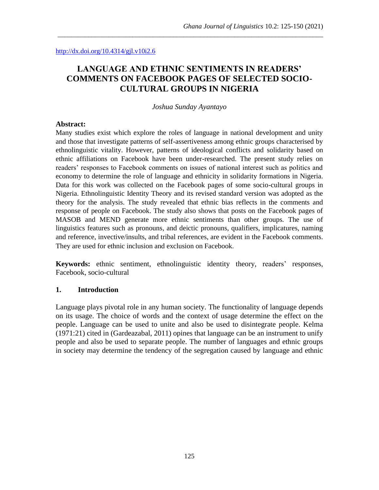# **LANGUAGE AND ETHNIC SENTIMENTS IN READERS' COMMENTS ON FACEBOOK PAGES OF SELECTED SOCIO-CULTURAL GROUPS IN NIGERIA**

\_\_\_\_\_\_\_\_\_\_\_\_\_\_\_\_\_\_\_\_\_\_\_\_\_\_\_\_\_\_\_\_\_\_\_\_\_\_\_\_\_\_\_\_\_\_\_\_\_\_\_\_\_\_\_\_\_\_\_\_\_\_\_\_\_\_\_\_\_\_\_\_\_\_\_\_\_\_

#### *Joshua Sunday Ayantayo*

#### **Abstract:**

Many studies exist which explore the roles of language in national development and unity and those that investigate patterns of self-assertiveness among ethnic groups characterised by ethnolinguistic vitality. However, patterns of ideological conflicts and solidarity based on ethnic affiliations on Facebook have been under-researched. The present study relies on readers' responses to Facebook comments on issues of national interest such as politics and economy to determine the role of language and ethnicity in solidarity formations in Nigeria. Data for this work was collected on the Facebook pages of some socio-cultural groups in Nigeria. Ethnolinguistic Identity Theory and its revised standard version was adopted as the theory for the analysis. The study revealed that ethnic bias reflects in the comments and response of people on Facebook. The study also shows that posts on the Facebook pages of MASOB and MEND generate more ethnic sentiments than other groups. The use of linguistics features such as pronouns, and deictic pronouns, qualifiers, implicatures, naming and reference, invective/insults, and tribal references, are evident in the Facebook comments. They are used for ethnic inclusion and exclusion on Facebook.

**Keywords:** ethnic sentiment, ethnolinguistic identity theory, readers' responses, Facebook, socio-cultural

#### **1. Introduction**

Language plays pivotal role in any human society. The functionality of language depends on its usage. The choice of words and the context of usage determine the effect on the people. Language can be used to unite and also be used to disintegrate people. Kelma (1971:21) cited in (Gardeazabal, 2011) opines that language can be an instrument to unify people and also be used to separate people. The number of languages and ethnic groups in society may determine the tendency of the segregation caused by language and ethnic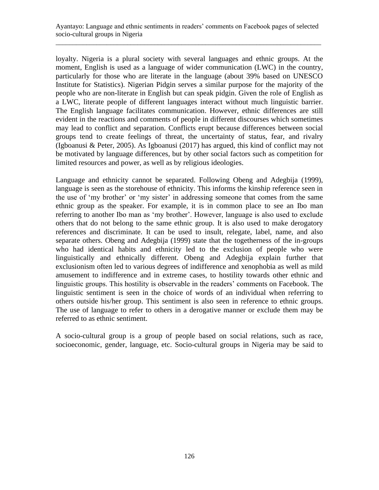loyalty. Nigeria is a plural society with several languages and ethnic groups. At the moment, English is used as a language of wider communication (LWC) in the country, particularly for those who are literate in the language (about 39% based on UNESCO Institute for Statistics). Nigerian Pidgin serves a similar purpose for the majority of the people who are non-literate in English but can speak pidgin. Given the role of English as a LWC, literate people of different languages interact without much linguistic barrier. The English language facilitates communication. However, ethnic differences are still evident in the reactions and comments of people in different discourses which sometimes may lead to conflict and separation. Conflicts erupt because differences between social groups tend to create feelings of threat, the uncertainty of status, fear, and rivalry (Igboanusi & Peter, 2005). As Igboanusi (2017) has argued, this kind of conflict may not be motivated by language differences, but by other social factors such as competition for limited resources and power, as well as by religious ideologies.

Language and ethnicity cannot be separated. Following Obeng and Adegbija (1999), language is seen as the storehouse of ethnicity. This informs the kinship reference seen in the use of 'my brother' or 'my sister' in addressing someone that comes from the same ethnic group as the speaker. For example, it is in common place to see an Ibo man referring to another Ibo man as 'my brother'. However, language is also used to exclude others that do not belong to the same ethnic group. It is also used to make derogatory references and discriminate. It can be used to insult, relegate, label, name, and also separate others. Obeng and Adegbija (1999) state that the togetherness of the in-groups who had identical habits and ethnicity led to the exclusion of people who were linguistically and ethnically different. Obeng and Adegbija explain further that exclusionism often led to various degrees of indifference and xenophobia as well as mild amusement to indifference and in extreme cases, to hostility towards other ethnic and linguistic groups. This hostility is observable in the readers' comments on Facebook. The linguistic sentiment is seen in the choice of words of an individual when referring to others outside his/her group. This sentiment is also seen in reference to ethnic groups. The use of language to refer to others in a derogative manner or exclude them may be referred to as ethnic sentiment.

A socio-cultural group is a group of people based on social relations, such as race, socioeconomic, gender, language, etc. Socio-cultural groups in Nigeria may be said to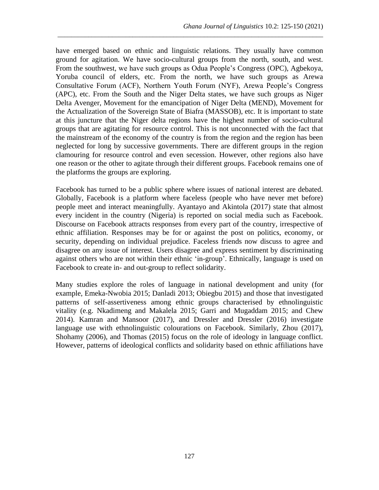have emerged based on ethnic and linguistic relations. They usually have common ground for agitation. We have socio-cultural groups from the north, south, and west. From the southwest, we have such groups as Odua People's Congress (OPC), Agbekoya, Yoruba council of elders, etc. From the north, we have such groups as Arewa Consultative Forum (ACF), Northern Youth Forum (NYF), Arewa People's Congress (APC), etc. From the South and the Niger Delta states, we have such groups as Niger Delta Avenger, Movement for the emancipation of Niger Delta (MEND), Movement for the Actualization of the Sovereign State of Biafra (MASSOB), etc. It is important to state at this juncture that the Niger delta regions have the highest number of socio-cultural groups that are agitating for resource control. This is not unconnected with the fact that the mainstream of the economy of the country is from the region and the region has been neglected for long by successive governments. There are different groups in the region clamouring for resource control and even secession. However, other regions also have one reason or the other to agitate through their different groups. Facebook remains one of the platforms the groups are exploring.

\_\_\_\_\_\_\_\_\_\_\_\_\_\_\_\_\_\_\_\_\_\_\_\_\_\_\_\_\_\_\_\_\_\_\_\_\_\_\_\_\_\_\_\_\_\_\_\_\_\_\_\_\_\_\_\_\_\_\_\_\_\_\_\_\_\_\_\_\_\_\_\_\_\_\_\_\_\_

Facebook has turned to be a public sphere where issues of national interest are debated. Globally, Facebook is a platform where faceless (people who have never met before) people meet and interact meaningfully. Ayantayo and Akintola (2017) state that almost every incident in the country (Nigeria) is reported on social media such as Facebook. Discourse on Facebook attracts responses from every part of the country, irrespective of ethnic affiliation. Responses may be for or against the post on politics, economy, or security, depending on individual prejudice. Faceless friends now discuss to agree and disagree on any issue of interest. Users disagree and express sentiment by discriminating against others who are not within their ethnic 'in-group'. Ethnically, language is used on Facebook to create in- and out-group to reflect solidarity.

Many studies explore the roles of language in national development and unity (for example, Emeka-Nwobia 2015; Danladi 2013; Obiegbu 2015) and those that investigated patterns of self-assertiveness among ethnic groups characterised by ethnolinguistic vitality (e.g. Nkadimeng and Makalela 2015; Garri and Mugaddam 2015; and Chew 2014). Kamran and Mansoor (2017), and Dressler and Dressler (2016) investigate language use with ethnolinguistic colourations on Facebook. Similarly, Zhou (2017), Shohamy (2006), and Thomas (2015) focus on the role of ideology in language conflict. However, patterns of ideological conflicts and solidarity based on ethnic affiliations have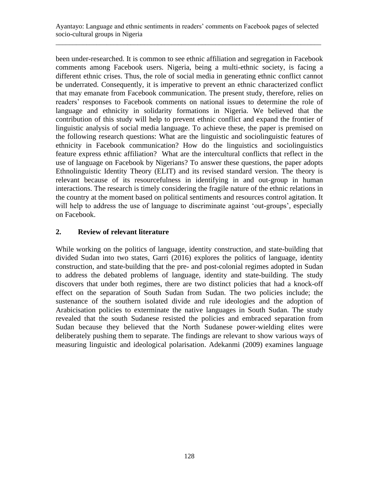been under-researched. It is common to see ethnic affiliation and segregation in Facebook comments among Facebook users. Nigeria, being a multi-ethnic society, is facing a different ethnic crises. Thus, the role of social media in generating ethnic conflict cannot be underrated. Consequently, it is imperative to prevent an ethnic characterized conflict that may emanate from Facebook communication. The present study, therefore, relies on readers' responses to Facebook comments on national issues to determine the role of language and ethnicity in solidarity formations in Nigeria. We believed that the contribution of this study will help to prevent ethnic conflict and expand the frontier of linguistic analysis of social media language. To achieve these, the paper is premised on the following research questions: What are the linguistic and sociolinguistic features of ethnicity in Facebook communication? How do the linguistics and sociolinguistics feature express ethnic affiliation? What are the intercultural conflicts that reflect in the use of language on Facebook by Nigerians? To answer these questions, the paper adopts Ethnolinguistic Identity Theory (ELIT) and its revised standard version. The theory is relevant because of its resourcefulness in identifying in and out-group in human interactions. The research is timely considering the fragile nature of the ethnic relations in the country at the moment based on political sentiments and resources control agitation. It will help to address the use of language to discriminate against 'out-groups', especially on Facebook.

## **2. Review of relevant literature**

While working on the politics of language, identity construction, and state-building that divided Sudan into two states, Garri (2016) explores the politics of language, identity construction, and state-building that the pre- and post-colonial regimes adopted in Sudan to address the debated problems of language, identity and state-building. The study discovers that under both regimes, there are two distinct policies that had a knock-off effect on the separation of South Sudan from Sudan. The two policies include; the sustenance of the southern isolated divide and rule ideologies and the adoption of Arabicisation policies to exterminate the native languages in South Sudan. The study revealed that the south Sudanese resisted the policies and embraced separation from Sudan because they believed that the North Sudanese power-wielding elites were deliberately pushing them to separate. The findings are relevant to show various ways of measuring linguistic and ideological polarisation. Adekanmi (2009) examines language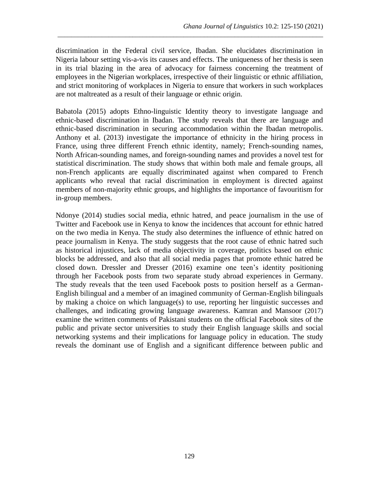discrimination in the Federal civil service, Ibadan. She elucidates discrimination in Nigeria labour setting vis-a-vis its causes and effects. The uniqueness of her thesis is seen in its trial blazing in the area of advocacy for fairness concerning the treatment of employees in the Nigerian workplaces, irrespective of their linguistic or ethnic affiliation, and strict monitoring of workplaces in Nigeria to ensure that workers in such workplaces are not maltreated as a result of their language or ethnic origin.

\_\_\_\_\_\_\_\_\_\_\_\_\_\_\_\_\_\_\_\_\_\_\_\_\_\_\_\_\_\_\_\_\_\_\_\_\_\_\_\_\_\_\_\_\_\_\_\_\_\_\_\_\_\_\_\_\_\_\_\_\_\_\_\_\_\_\_\_\_\_\_\_\_\_\_\_\_\_

Babatola (2015) adopts Ethno-linguistic Identity theory to investigate language and ethnic-based discrimination in Ibadan. The study reveals that there are language and ethnic-based discrimination in securing accommodation within the Ibadan metropolis. Anthony et al. (2013) investigate the importance of ethnicity in the hiring process in France, using three different French ethnic identity, namely; French-sounding names, North African-sounding names, and foreign-sounding names and provides a novel test for statistical discrimination. The study shows that within both male and female groups, all non-French applicants are equally discriminated against when compared to French applicants who reveal that racial discrimination in employment is directed against members of non-majority ethnic groups, and highlights the importance of favouritism for in-group members.

Ndonye (2014) studies social media, ethnic hatred, and peace journalism in the use of Twitter and Facebook use in Kenya to know the incidences that account for ethnic hatred on the two media in Kenya. The study also determines the influence of ethnic hatred on peace journalism in Kenya. The study suggests that the root cause of ethnic hatred such as historical injustices, lack of media objectivity in coverage, politics based on ethnic blocks be addressed, and also that all social media pages that promote ethnic hatred be closed down. Dressler and Dresser (2016) examine one teen's identity positioning through her Facebook posts from two separate study abroad experiences in Germany. The study reveals that the teen used Facebook posts to position herself as a German-English bilingual and a member of an imagined community of German-English bilinguals by making a choice on which language(s) to use, reporting her linguistic successes and challenges, and indicating growing language awareness. Kamran and Mansoor (2017) examine the written comments of Pakistani students on the official Facebook sites of the public and private sector universities to study their English language skills and social networking systems and their implications for language policy in education. The study reveals the dominant use of English and a significant difference between public and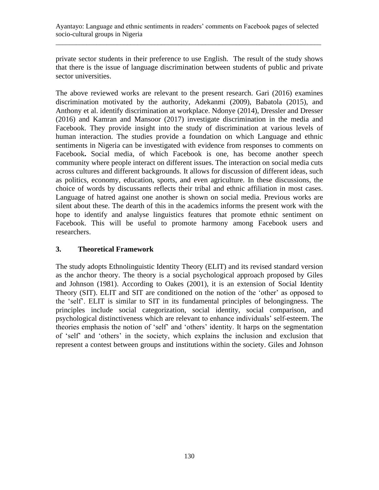private sector students in their preference to use English. The result of the study shows that there is the issue of language discrimination between students of public and private sector universities.

The above reviewed works are relevant to the present research. Gari (2016) examines discrimination motivated by the authority, Adekanmi (2009), Babatola (2015), and Anthony et al. identify discrimination at workplace. Ndonye (2014), Dressler and Dresser (2016) and Kamran and Mansoor (2017) investigate discrimination in the media and Facebook. They provide insight into the study of discrimination at various levels of human interaction. The studies provide a foundation on which Language and ethnic sentiments in Nigeria can be investigated with evidence from responses to comments on Facebook**.** Social media, of which Facebook is one, has become another speech community where people interact on different issues. The interaction on social media cuts across cultures and different backgrounds. It allows for discussion of different ideas, such as politics, economy, education, sports, and even agriculture. In these discussions, the choice of words by discussants reflects their tribal and ethnic affiliation in most cases. Language of hatred against one another is shown on social media. Previous works are silent about these. The dearth of this in the academics informs the present work with the hope to identify and analyse linguistics features that promote ethnic sentiment on Facebook. This will be useful to promote harmony among Facebook users and researchers.

## **3. Theoretical Framework**

The study adopts Ethnolinguistic Identity Theory (ELIT) and its revised standard version as the anchor theory. The theory is a social psychological approach proposed by Giles and Johnson (1981). According to Oakes (2001), it is an extension of Social Identity Theory (SIT). ELIT and SIT are conditioned on the notion of the 'other' as opposed to the 'self'. ELIT is similar to SIT in its fundamental principles of belongingness. The principles include social categorization, social identity, social comparison, and psychological distinctiveness which are relevant to enhance individuals' self-esteem. The theories emphasis the notion of 'self' and 'others' identity. It harps on the segmentation of 'self' and 'others' in the society, which explains the inclusion and exclusion that represent a contest between groups and institutions within the society. Giles and Johnson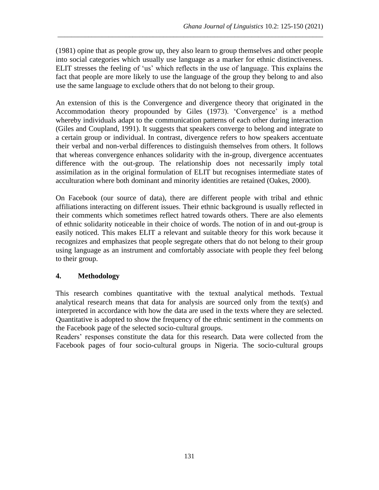(1981) opine that as people grow up, they also learn to group themselves and other people into social categories which usually use language as a marker for ethnic distinctiveness. ELIT stresses the feeling of 'us' which reflects in the use of language. This explains the fact that people are more likely to use the language of the group they belong to and also use the same language to exclude others that do not belong to their group.

\_\_\_\_\_\_\_\_\_\_\_\_\_\_\_\_\_\_\_\_\_\_\_\_\_\_\_\_\_\_\_\_\_\_\_\_\_\_\_\_\_\_\_\_\_\_\_\_\_\_\_\_\_\_\_\_\_\_\_\_\_\_\_\_\_\_\_\_\_\_\_\_\_\_\_\_\_\_

An extension of this is the Convergence and divergence theory that originated in the Accommodation theory propounded by Giles (1973). 'Convergence' is a method whereby individuals adapt to the communication patterns of each other during interaction (Giles and Coupland, 1991). It suggests that speakers converge to belong and integrate to a certain group or individual. In contrast, divergence refers to how speakers accentuate their verbal and non-verbal differences to distinguish themselves from others. It follows that whereas convergence enhances solidarity with the in-group, divergence accentuates difference with the out-group. The relationship does not necessarily imply total assimilation as in the original formulation of ELIT but recognises intermediate states of acculturation where both dominant and minority identities are retained (Oakes, 2000).

On Facebook (our source of data), there are different people with tribal and ethnic affiliations interacting on different issues. Their ethnic background is usually reflected in their comments which sometimes reflect hatred towards others. There are also elements of ethnic solidarity noticeable in their choice of words. The notion of in and out-group is easily noticed. This makes ELIT a relevant and suitable theory for this work because it recognizes and emphasizes that people segregate others that do not belong to their group using language as an instrument and comfortably associate with people they feel belong to their group.

## **4. Methodology**

This research combines quantitative with the textual analytical methods. Textual analytical research means that data for analysis are sourced only from the text(s) and interpreted in accordance with how the data are used in the texts where they are selected. Quantitative is adopted to show the frequency of the ethnic sentiment in the comments on the Facebook page of the selected socio-cultural groups.

Readers' responses constitute the data for this research. Data were collected from the Facebook pages of four socio-cultural groups in Nigeria. The socio-cultural groups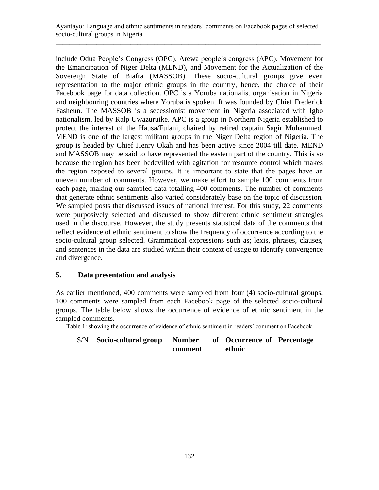include Odua People's Congress (OPC), Arewa people's congress (APC), Movement for the Emancipation of Niger Delta (MEND), and Movement for the Actualization of the Sovereign State of Biafra (MASSOB). These socio-cultural groups give even representation to the major ethnic groups in the country, hence, the choice of their Facebook page for data collection. OPC is a Yoruba nationalist organisation in Nigeria and neighbouring countries where Yoruba is spoken. It was founded by Chief Frederick Fasheun. The MASSOB is a secessionist movement in Nigeria associated with Igbo nationalism, led by Ralp Uwazuruike. APC is a group in Northern Nigeria established to protect the interest of the Hausa/Fulani, chaired by retired captain Sagir Muhammed. MEND is one of the largest militant groups in the Niger Delta region of Nigeria. The group is headed by Chief Henry Okah and has been active since 2004 till date. MEND and MASSOB may be said to have represented the eastern part of the country. This is so because the region has been bedevilled with agitation for resource control which makes the region exposed to several groups. It is important to state that the pages have an uneven number of comments. However, we make effort to sample 100 comments from each page, making our sampled data totalling 400 comments. The number of comments that generate ethnic sentiments also varied considerately base on the topic of discussion. We sampled posts that discussed issues of national interest. For this study, 22 comments were purposively selected and discussed to show different ethnic sentiment strategies used in the discourse. However, the study presents statistical data of the comments that reflect evidence of ethnic sentiment to show the frequency of occurrence according to the socio-cultural group selected. Grammatical expressions such as; lexis, phrases, clauses, and sentences in the data are studied within their context of usage to identify convergence and divergence.

## **5. Data presentation and analysis**

As earlier mentioned, 400 comments were sampled from four (4) socio-cultural groups. 100 comments were sampled from each Facebook page of the selected socio-cultural groups. The table below shows the occurrence of evidence of ethnic sentiment in the sampled comments.

Table 1: showing the occurrence of evidence of ethnic sentiment in readers' comment on Facebook

| $\vert$ S/N $\vert$ Socio-cultural group | Number  | of   Occurrence of   Percentage |  |
|------------------------------------------|---------|---------------------------------|--|
|                                          | comment | ethnic                          |  |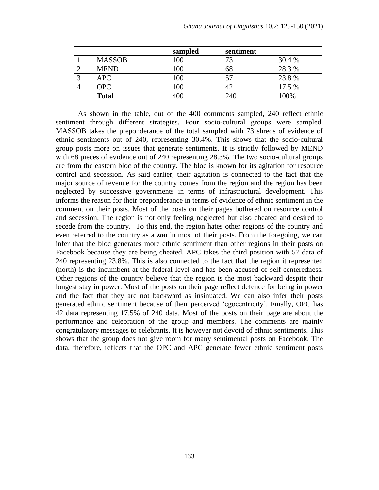|               | sampled | sentiment |        |
|---------------|---------|-----------|--------|
| <b>MASSOB</b> | 100     | 73        | 30.4 % |
| <b>MEND</b>   | 100     | 68        | 28.3 % |
| <b>APC</b>    | 100     | 57        | 23.8%  |
| <b>OPC</b>    | 100     | 42        | 17.5 % |
| <b>Total</b>  | 400     | 240       | 100%   |

\_\_\_\_\_\_\_\_\_\_\_\_\_\_\_\_\_\_\_\_\_\_\_\_\_\_\_\_\_\_\_\_\_\_\_\_\_\_\_\_\_\_\_\_\_\_\_\_\_\_\_\_\_\_\_\_\_\_\_\_\_\_\_\_\_\_\_\_\_\_\_\_\_\_\_\_\_\_

As shown in the table, out of the 400 comments sampled, 240 reflect ethnic sentiment through different strategies. Four socio-cultural groups were sampled. MASSOB takes the preponderance of the total sampled with 73 shreds of evidence of ethnic sentiments out of 240, representing 30.4%. This shows that the socio-cultural group posts more on issues that generate sentiments. It is strictly followed by MEND with 68 pieces of evidence out of 240 representing 28.3%. The two socio-cultural groups are from the eastern bloc of the country. The bloc is known for its agitation for resource control and secession. As said earlier, their agitation is connected to the fact that the major source of revenue for the country comes from the region and the region has been neglected by successive governments in terms of infrastructural development. This informs the reason for their preponderance in terms of evidence of ethnic sentiment in the comment on their posts. Most of the posts on their pages bothered on resource control and secession. The region is not only feeling neglected but also cheated and desired to secede from the country. To this end, the region hates other regions of the country and even referred to the country as a **zoo** in most of their posts. From the foregoing, we can infer that the bloc generates more ethnic sentiment than other regions in their posts on Facebook because they are being cheated. APC takes the third position with 57 data of 240 representing 23.8%. This is also connected to the fact that the region it represented (north) is the incumbent at the federal level and has been accused of self-centeredness. Other regions of the country believe that the region is the most backward despite their longest stay in power. Most of the posts on their page reflect defence for being in power and the fact that they are not backward as insinuated. We can also infer their posts generated ethnic sentiment because of their perceived 'egocentricity'. Finally, OPC has 42 data representing 17.5% of 240 data. Most of the posts on their page are about the performance and celebration of the group and members. The comments are mainly congratulatory messages to celebrants. It is however not devoid of ethnic sentiments. This shows that the group does not give room for many sentimental posts on Facebook. The data, therefore, reflects that the OPC and APC generate fewer ethnic sentiment posts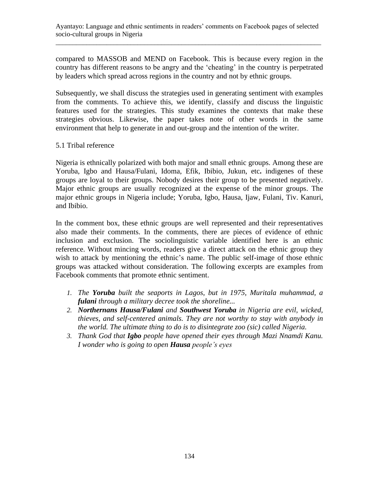compared to MASSOB and MEND on Facebook. This is because every region in the country has different reasons to be angry and the 'cheating' in the country is perpetrated by leaders which spread across regions in the country and not by ethnic groups.

Subsequently, we shall discuss the strategies used in generating sentiment with examples from the comments. To achieve this, we identify, classify and discuss the linguistic features used for the strategies. This study examines the contexts that make these strategies obvious. Likewise, the paper takes note of other words in the same environment that help to generate in and out-group and the intention of the writer.

### 5.1 Tribal reference

Nigeria is ethnically polarized with both major and small ethnic groups. Among these are Yoruba, Igbo and Hausa/Fulani, Idoma, Efik, Ibibio, Jukun, etc**.** indigenes of these groups are loyal to their groups. Nobody desires their group to be presented negatively. Major ethnic groups are usually recognized at the expense of the minor groups. The major ethnic groups in Nigeria include; Yoruba, Igbo, Hausa, Ijaw, Fulani, Tiv. Kanuri, and Ibibio.

In the comment box, these ethnic groups are well represented and their representatives also made their comments. In the comments, there are pieces of evidence of ethnic inclusion and exclusion. The sociolinguistic variable identified here is an ethnic reference. Without mincing words, readers give a direct attack on the ethnic group they wish to attack by mentioning the ethnic's name. The public self-image of those ethnic groups was attacked without consideration. The following excerpts are examples from Facebook comments that promote ethnic sentiment.

- *1. The Yoruba built the seaports in Lagos, but in 1975, Muritala muhammad, a fulani through a military decree took the shoreline...*
- *2. Northernans Hausa/Fulani and Southwest Yoruba in Nigeria are evil, wicked, thieves, and self-centered animals. They are not worthy to stay with anybody in the world. The ultimate thing to do is to disintegrate zoo (sic) called Nigeria.*
- *3. Thank God that Igbo people have opened their eyes through Mazi Nnamdi Kanu. I wonder who is going to open Hausa people's eyes*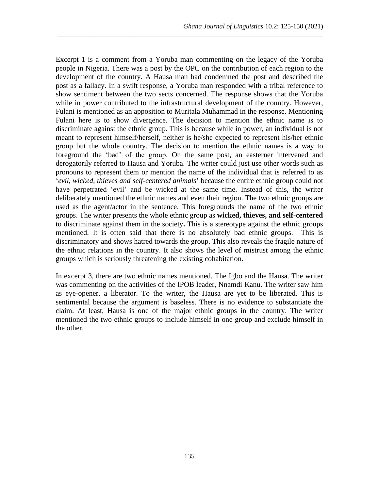Excerpt 1 is a comment from a Yoruba man commenting on the legacy of the Yoruba people in Nigeria. There was a post by the OPC on the contribution of each region to the development of the country. A Hausa man had condemned the post and described the post as a fallacy. In a swift response, a Yoruba man responded with a tribal reference to show sentiment between the two sects concerned. The response shows that the Yoruba while in power contributed to the infrastructural development of the country. However, Fulani is mentioned as an apposition to Muritala Muhammad in the response. Mentioning Fulani here is to show divergence. The decision to mention the ethnic name is to discriminate against the ethnic group. This is because while in power, an individual is not meant to represent himself/herself, neither is he/she expected to represent his/her ethnic group but the whole country. The decision to mention the ethnic names is a way to foreground the 'bad' of the group. On the same post, an easterner intervened and derogatorily referred to Hausa and Yoruba. The writer could just use other words such as pronouns to represent them or mention the name of the individual that is referred to as '*evil, wicked, thieves and self-centered animals*' because the entire ethnic group could not have perpetrated 'evil' and be wicked at the same time. Instead of this, the writer deliberately mentioned the ethnic names and even their region. The two ethnic groups are used as the agent/actor in the sentence. This foregrounds the name of the two ethnic groups. The writer presents the whole ethnic group as **wicked, thieves, and self-centered** to discriminate against them in the society**.** This is a stereotype against the ethnic groups mentioned. It is often said that there is no absolutely bad ethnic groups. This is discriminatory and shows hatred towards the group. This also reveals the fragile nature of the ethnic relations in the country. It also shows the level of mistrust among the ethnic groups which is seriously threatening the existing cohabitation.

\_\_\_\_\_\_\_\_\_\_\_\_\_\_\_\_\_\_\_\_\_\_\_\_\_\_\_\_\_\_\_\_\_\_\_\_\_\_\_\_\_\_\_\_\_\_\_\_\_\_\_\_\_\_\_\_\_\_\_\_\_\_\_\_\_\_\_\_\_\_\_\_\_\_\_\_\_\_

In excerpt 3, there are two ethnic names mentioned. The Igbo and the Hausa. The writer was commenting on the activities of the IPOB leader, Nnamdi Kanu. The writer saw him as eye-opener, a liberator. To the writer, the Hausa are yet to be liberated. This is sentimental because the argument is baseless. There is no evidence to substantiate the claim. At least, Hausa is one of the major ethnic groups in the country. The writer mentioned the two ethnic groups to include himself in one group and exclude himself in the other.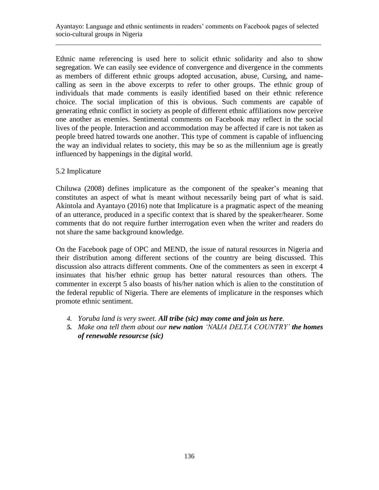Ethnic name referencing is used here to solicit ethnic solidarity and also to show segregation. We can easily see evidence of convergence and divergence in the comments as members of different ethnic groups adopted accusation, abuse, Cursing, and namecalling as seen in the above excerpts to refer to other groups. The ethnic group of individuals that made comments is easily identified based on their ethnic reference choice. The social implication of this is obvious. Such comments are capable of generating ethnic conflict in society as people of different ethnic affiliations now perceive one another as enemies. Sentimental comments on Facebook may reflect in the social lives of the people. Interaction and accommodation may be affected if care is not taken as people breed hatred towards one another. This type of comment is capable of influencing the way an individual relates to society, this may be so as the millennium age is greatly influenced by happenings in the digital world.

#### 5.2 Implicature

Chiluwa (2008) defines implicature as the component of the speaker's meaning that constitutes an aspect of what is meant without necessarily being part of what is said. Akintola and Ayantayo (2016) note that Implicature is a pragmatic aspect of the meaning of an utterance, produced in a specific context that is shared by the speaker/hearer. Some comments that do not require further interrogation even when the writer and readers do not share the same background knowledge.

On the Facebook page of OPC and MEND, the issue of natural resources in Nigeria and their distribution among different sections of the country are being discussed. This discussion also attracts different comments. One of the commenters as seen in excerpt 4 insinuates that his/her ethnic group has better natural resources than others. The commenter in excerpt 5 also boasts of his/her nation which is alien to the constitution of the federal republic of Nigeria. There are elements of implicature in the responses which promote ethnic sentiment.

- *4. Yoruba land is very sweet. All tribe (sic) may come and join us here.*
- *5. Make ona tell them about our new nation 'NAIJA DELTA COUNTRY' the homes of renewable resourcse (sic)*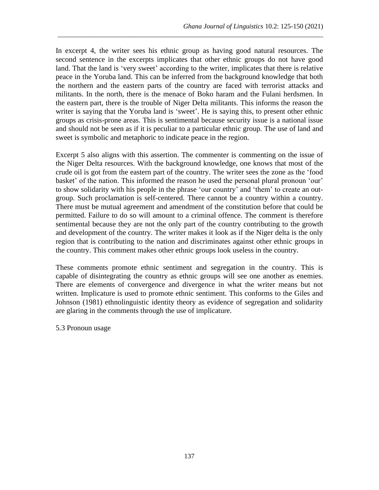In excerpt 4, the writer sees his ethnic group as having good natural resources. The second sentence in the excerpts implicates that other ethnic groups do not have good land. That the land is 'very sweet' according to the writer, implicates that there is relative peace in the Yoruba land. This can be inferred from the background knowledge that both the northern and the eastern parts of the country are faced with terrorist attacks and militants. In the north, there is the menace of Boko haram and the Fulani herdsmen. In the eastern part, there is the trouble of Niger Delta militants. This informs the reason the writer is saying that the Yoruba land is 'sweet'. He is saying this, to present other ethnic groups as crisis-prone areas. This is sentimental because security issue is a national issue and should not be seen as if it is peculiar to a particular ethnic group. The use of land and sweet is symbolic and metaphoric to indicate peace in the region.

\_\_\_\_\_\_\_\_\_\_\_\_\_\_\_\_\_\_\_\_\_\_\_\_\_\_\_\_\_\_\_\_\_\_\_\_\_\_\_\_\_\_\_\_\_\_\_\_\_\_\_\_\_\_\_\_\_\_\_\_\_\_\_\_\_\_\_\_\_\_\_\_\_\_\_\_\_\_

Excerpt 5 also aligns with this assertion. The commenter is commenting on the issue of the Niger Delta resources. With the background knowledge, one knows that most of the crude oil is got from the eastern part of the country. The writer sees the zone as the 'food basket' of the nation. This informed the reason he used the personal plural pronoun 'our' to show solidarity with his people in the phrase 'our country' and 'them' to create an outgroup. Such proclamation is self-centered. There cannot be a country within a country. There must be mutual agreement and amendment of the constitution before that could be permitted. Failure to do so will amount to a criminal offence. The comment is therefore sentimental because they are not the only part of the country contributing to the growth and development of the country. The writer makes it look as if the Niger delta is the only region that is contributing to the nation and discriminates against other ethnic groups in the country. This comment makes other ethnic groups look useless in the country.

These comments promote ethnic sentiment and segregation in the country. This is capable of disintegrating the country as ethnic groups will see one another as enemies. There are elements of convergence and divergence in what the writer means but not written. Implicature is used to promote ethnic sentiment. This conforms to the Giles and Johnson (1981) ethnolinguistic identity theory as evidence of segregation and solidarity are glaring in the comments through the use of implicature.

5.3 Pronoun usage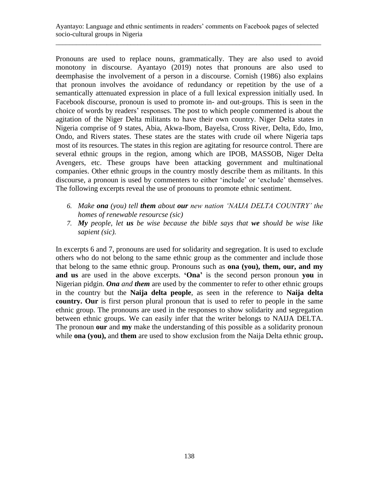Pronouns are used to replace nouns, grammatically. They are also used to avoid monotony in discourse. Ayantayo (2019) notes that pronouns are also used to deemphasise the involvement of a person in a discourse. Cornish (1986) also explains that pronoun involves the avoidance of redundancy or repetition by the use of a semantically attenuated expression in place of a full lexical expression initially used. In Facebook discourse, pronoun is used to promote in- and out-groups. This is seen in the choice of words by readers' responses. The post to which people commented is about the agitation of the Niger Delta militants to have their own country. Niger Delta states in Nigeria comprise of 9 states, Abia, Akwa-Ibom, Bayelsa, Cross River, Delta, Edo, Imo, Ondo, and Rivers states. These states are the states with crude oil where Nigeria taps most of its resources. The states in this region are agitating for resource control. There are several ethnic groups in the region, among which are IPOB, MASSOB, Niger Delta Avengers, etc. These groups have been attacking government and multinational companies. Other ethnic groups in the country mostly describe them as militants. In this discourse, a pronoun is used by commenters to either 'include' or 'exclude' themselves. The following excerpts reveal the use of pronouns to promote ethnic sentiment.

- *6. Make ona (you) tell them about our new nation 'NAIJA DELTA COUNTRY' the homes of renewable resourcse (sic)*
- *7. My people, let us be wise because the bible says that we should be wise like sapient (sic).*

In excerpts 6 and 7, pronouns are used for solidarity and segregation. It is used to exclude others who do not belong to the same ethnic group as the commenter and include those that belong to the same ethnic group. Pronouns such as **ona (you), them, our, and my and us** are used in the above excerpts. **'Ona'** is the second person pronoun **you** in Nigerian pidgin. *Ona and them* are used by the commenter to refer to other ethnic groups in the country but the **Naija delta people**, as seen in the reference to **Naija delta country. Our** is first person plural pronoun that is used to refer to people in the same ethnic group. The pronouns are used in the responses to show solidarity and segregation between ethnic groups. We can easily infer that the writer belongs to NAIJA DELTA. The pronoun **our** and **my** make the understanding of this possible as a solidarity pronoun while **ona (you),** and **them** are used to show exclusion from the Naija Delta ethnic group.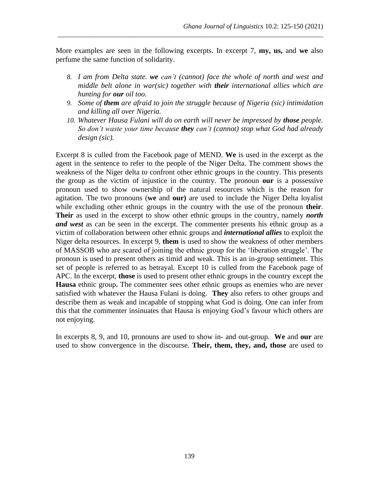More examples are seen in the following excerpts. In excerpt 7, **my, us,** and **we** also perfume the same function of solidarity.

\_\_\_\_\_\_\_\_\_\_\_\_\_\_\_\_\_\_\_\_\_\_\_\_\_\_\_\_\_\_\_\_\_\_\_\_\_\_\_\_\_\_\_\_\_\_\_\_\_\_\_\_\_\_\_\_\_\_\_\_\_\_\_\_\_\_\_\_\_\_\_\_\_\_\_\_\_\_

- *8. I am from Delta state. we can't (cannot) face the whole of north and west and middle belt alone in war(sic) together with their international allies which are hunting for our oil too.*
- *9. Some of them are afraid to join the struggle because of Nigeria (sic) intimidation and killing all over Nigeria.*
- *10. Whatever Hausa Fulani will do on earth will never be impressed by those people. So don't waste your time because they can't (cannot) stop what God had already design (sic).*

Excerpt 8 is culled from the Facebook page of MEND. **We** is used in the excerpt as the agent in the sentence to refer to the people of the Niger Delta. The comment shows the weakness of the Niger delta to confront other ethnic groups in the country. This presents the group as the victim of injustice in the country. The pronoun **our** is a possessive pronoun used to show ownership of the natural resources which is the reason for agitation. The two pronouns (**we** and **our)** are used to include the Niger Delta loyalist while excluding other ethnic groups in the country with the use of the pronoun **their**. **Their** as used in the excerpt to show other ethnic groups in the country, namely *north and west* as can be seen in the excerpt. The commenter presents his ethnic group as a victim of collaboration between other ethnic groups and *international allies* to exploit the Niger delta resources. In excerpt 9, **them** is used to show the weakness of other members of MASSOB who are scared of joining the ethnic group for the 'liberation struggle'. The pronoun is used to present others as timid and weak. This is an in-group sentiment. This set of people is referred to as betrayal. Except 10 is culled from the Facebook page of APC. In the excerpt, **those** is used to present other ethnic groups in the country except the **Hausa** ethnic group**.** The commenter sees other ethnic groups as enemies who are never satisfied with whatever the Hausa Fulani is doing. **They** also refers to other groups and describe them as weak and incapable of stopping what God is doing. One can infer from this that the commenter insinuates that Hausa is enjoying God's favour which others are not enjoying.

In excerpts 8, 9, and 10, pronouns are used to show in- and out-group. **We** and **our** are used to show convergence in the discourse. **Their, them, they, and, those** are used to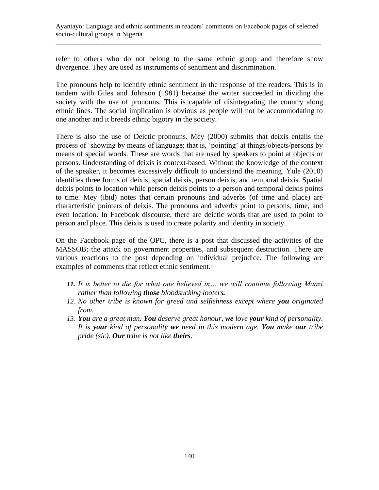refer to others who do not belong to the same ethnic group and therefore show divergence. They are used as instruments of sentiment and discrimination.

The pronouns help to identify ethnic sentiment in the response of the readers. This is in tandem with Giles and Johnson (1981) because the writer succeeded in dividing the society with the use of pronouns. This is capable of disintegrating the country along ethnic lines. The social implication is obvious as people will not be accommodating to one another and it breeds ethnic bigotry in the society.

There is also the use of Deictic pronouns**.** Mey (2000) submits that deixis entails the process of 'showing by means of language; that is, 'pointing' at things/objects/persons by means of special words. These are words that are used by speakers to point at objects or persons. Understanding of deixis is context-based. Without the knowledge of the context of the speaker, it becomes excessively difficult to understand the meaning. Yule (2010) identifies three forms of deixis; spatial deixis, person deixis, and temporal deixis. Spatial deixis points to location while person deixis points to a person and temporal deixis points to time. Mey (ibid) notes that certain pronouns and adverbs (of time and place) are characteristic pointers of deixis. The pronouns and adverbs point to persons, time, and even location. In Facebook discourse, there are deictic words that are used to point to person and place. This deixis is used to create polarity and identity in society.

On the Facebook page of the OPC, there is a post that discussed the activities of the MASSOB; the attack on government properties, and subsequent destruction. There are various reactions to the post depending on individual prejudice. The following are examples of comments that reflect ethnic sentiment.

- *11. It is better to die for what one believed in… we will continue following Maazi rather than following those bloodsucking looters.*
- *12. No other tribe is known for greed and selfishness except where you originated from.*
- *13. You are a great man. You deserve great honour, we love your kind of personality. It is your kind of personality we need in this modern age. You make our tribe pride (sic). Our tribe is not like theirs.*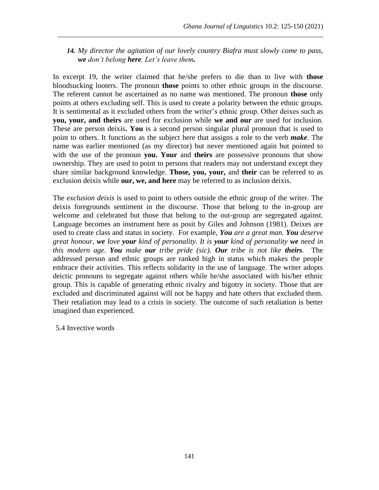### *14. My director the agitation of our lovely country Biafra must slowly come to pass, we don't belong here. Let's leave them.*

\_\_\_\_\_\_\_\_\_\_\_\_\_\_\_\_\_\_\_\_\_\_\_\_\_\_\_\_\_\_\_\_\_\_\_\_\_\_\_\_\_\_\_\_\_\_\_\_\_\_\_\_\_\_\_\_\_\_\_\_\_\_\_\_\_\_\_\_\_\_\_\_\_\_\_\_\_\_

In excerpt 19, the writer claimed that he/she prefers to die than to live with **those** bloodsucking looters. The pronoun **those** points to other ethnic groups in the discourse. The referent cannot be ascertained as no name was mentioned. The pronoun **those** only points at others excluding self. This is used to create a polarity between the ethnic groups. It is sentimental as it excluded others from the writer's ethnic group. Other deixes such as **you, your, and theirs** are used for exclusion while **we and our** are used for inclusion. These are person deixis**. You** is a second person singular plural pronoun that is used to point to others. It functions as the subject here that assigns a role to the verb *make*. The name was earlier mentioned (as my director) but never mentioned again but pointed to with the use of the pronoun **you. Your** and **theirs** are possessive pronouns that show ownership. They are used to point to persons that readers may not understand except they share similar background knowledge. **Those, you, your,** and **their** can be referred to as exclusion deixis while **our, we, and here** may be referred to as inclusion deixis.

The *exclusion deixis* is used to point to others outside the ethnic group of the writer. The deixis foregrounds sentiment in the discourse. Those that belong to the in-group are welcome and celebrated but those that belong to the out-group are segregated against. Language becomes an instrument here as posit by Giles and Johnson (1981). Deixes are used to create class and status in society. For example, *You are a great man. You deserve great honour, we love your kind of personality. It is your kind of personality we need in this modern age. You make our tribe pride (sic). Our tribe is not like theirs.* The addressed person and ethnic groups are ranked high in status which makes the people embrace their activities. This reflects solidarity in the use of language. The writer adopts deictic pronouns to segregate against others while he/she associated with his/her ethnic group. This is capable of generating ethnic rivalry and bigotry in society. Those that are excluded and discriminated against will not be happy and hate others that excluded them. Their retaliation may lead to a crisis in society. The outcome of such retaliation is better imagined than experienced.

5.4 Invective words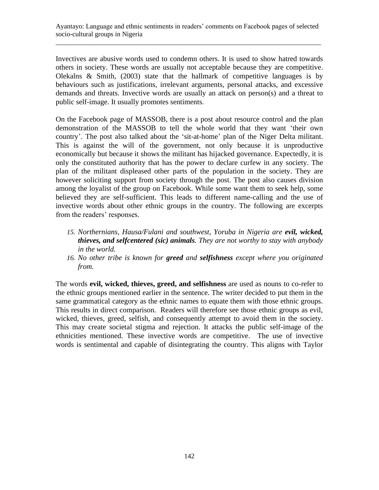Invectives are abusive words used to condemn others. It is used to show hatred towards others in society. These words are usually not acceptable because they are competitive. Olekalns & Smith, (2003) state that the hallmark of competitive languages is by behaviours such as justifications, irrelevant arguments, personal attacks, and excessive demands and threats. Invective words are usually an attack on person(s) and a threat to public self-image. It usually promotes sentiments.

On the Facebook page of MASSOB, there is a post about resource control and the plan demonstration of the MASSOB to tell the whole world that they want 'their own country'. The post also talked about the 'sit-at-home' plan of the Niger Delta militant. This is against the will of the government, not only because it is unproductive economically but because it shows the militant has hijacked governance. Expectedly, it is only the constituted authority that has the power to declare curfew in any society. The plan of the militant displeased other parts of the population in the society. They are however soliciting support from society through the post. The post also causes division among the loyalist of the group on Facebook. While some want them to seek help, some believed they are self-sufficient. This leads to different name-calling and the use of invective words about other ethnic groups in the country. The following are excerpts from the readers' responses.

- *15. Northernians, Hausa/Fulani and southwest, Yoruba in Nigeria are evil, wicked, thieves, and selfcentered (sic) animals. They are not worthy to stay with anybody in the world.*
- *16. No other tribe is known for greed and selfishness except where you originated from.*

The words **evil, wicked, thieves, greed, and selfishness** are used as nouns to co-refer to the ethnic groups mentioned earlier in the sentence. The writer decided to put them in the same grammatical category as the ethnic names to equate them with those ethnic groups. This results in direct comparison. Readers will therefore see those ethnic groups as evil, wicked, thieves, greed, selfish, and consequently attempt to avoid them in the society. This may create societal stigma and rejection. It attacks the public self-image of the ethnicities mentioned. These invective words are competitive. The use of invective words is sentimental and capable of disintegrating the country. This aligns with Taylor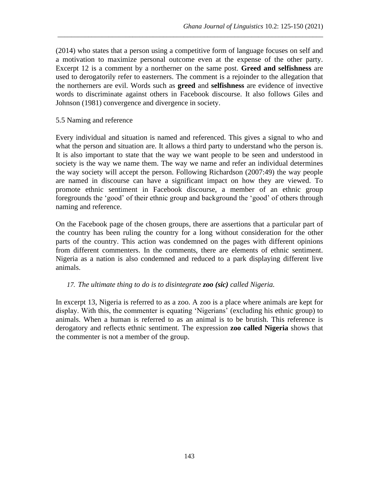(2014) who states that a person using a competitive form of language focuses on self and a motivation to maximize personal outcome even at the expense of the other party. Excerpt 12 is a comment by a northerner on the same post. **Greed and selfishness** are used to derogatorily refer to easterners. The comment is a rejoinder to the allegation that the northerners are evil. Words such as **greed** and **selfishness** are evidence of invective words to discriminate against others in Facebook discourse. It also follows Giles and Johnson (1981) convergence and divergence in society.

\_\_\_\_\_\_\_\_\_\_\_\_\_\_\_\_\_\_\_\_\_\_\_\_\_\_\_\_\_\_\_\_\_\_\_\_\_\_\_\_\_\_\_\_\_\_\_\_\_\_\_\_\_\_\_\_\_\_\_\_\_\_\_\_\_\_\_\_\_\_\_\_\_\_\_\_\_\_

#### 5.5 Naming and reference

Every individual and situation is named and referenced. This gives a signal to who and what the person and situation are. It allows a third party to understand who the person is. It is also important to state that the way we want people to be seen and understood in society is the way we name them. The way we name and refer an individual determines the way society will accept the person. Following Richardson (2007:49) the way people are named in discourse can have a significant impact on how they are viewed. To promote ethnic sentiment in Facebook discourse, a member of an ethnic group foregrounds the 'good' of their ethnic group and background the 'good' of others through naming and reference.

On the Facebook page of the chosen groups, there are assertions that a particular part of the country has been ruling the country for a long without consideration for the other parts of the country. This action was condemned on the pages with different opinions from different commenters. In the comments, there are elements of ethnic sentiment. Nigeria as a nation is also condemned and reduced to a park displaying different live animals.

#### *17. The ultimate thing to do is to disintegrate zoo (sic) called Nigeria.*

In excerpt 13, Nigeria is referred to as a zoo. A zoo is a place where animals are kept for display. With this, the commenter is equating 'Nigerians' (excluding his ethnic group) to animals. When a human is referred to as an animal is to be brutish. This reference is derogatory and reflects ethnic sentiment. The expression **zoo called Nigeria** shows that the commenter is not a member of the group.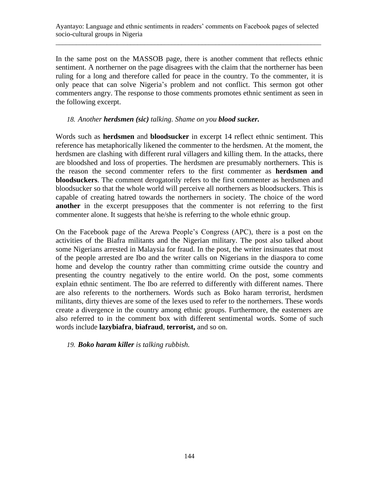In the same post on the MASSOB page, there is another comment that reflects ethnic sentiment. A northerner on the page disagrees with the claim that the northerner has been ruling for a long and therefore called for peace in the country. To the commenter, it is only peace that can solve Nigeria's problem and not conflict. This sermon got other commenters angry. The response to those comments promotes ethnic sentiment as seen in the following excerpt.

### *18. Another herdsmen (sic) talking. Shame on you blood sucker.*

Words such as **herdsmen** and **bloodsucker** in excerpt 14 reflect ethnic sentiment. This reference has metaphorically likened the commenter to the herdsmen. At the moment, the herdsmen are clashing with different rural villagers and killing them. In the attacks, there are bloodshed and loss of properties. The herdsmen are presumably northerners. This is the reason the second commenter refers to the first commenter as **herdsmen and bloodsuckers**. The comment derogatorily refers to the first commenter as herdsmen and bloodsucker so that the whole world will perceive all northerners as bloodsuckers. This is capable of creating hatred towards the northerners in society. The choice of the word **another** in the excerpt presupposes that the commenter is not referring to the first commenter alone. It suggests that he/she is referring to the whole ethnic group.

On the Facebook page of the Arewa People's Congress (APC), there is a post on the activities of the Biafra militants and the Nigerian military. The post also talked about some Nigerians arrested in Malaysia for fraud. In the post, the writer insinuates that most of the people arrested are Ibo and the writer calls on Nigerians in the diaspora to come home and develop the country rather than committing crime outside the country and presenting the country negatively to the entire world. On the post, some comments explain ethnic sentiment. The Ibo are referred to differently with different names. There are also referents to the northerners. Words such as Boko haram terrorist, herdsmen militants, dirty thieves are some of the lexes used to refer to the northerners. These words create a divergence in the country among ethnic groups. Furthermore, the easterners are also referred to in the comment box with different sentimental words. Some of such words include **lazybiafra**, **biafraud**, **terrorist,** and so on.

*19. Boko haram killer is talking rubbish.*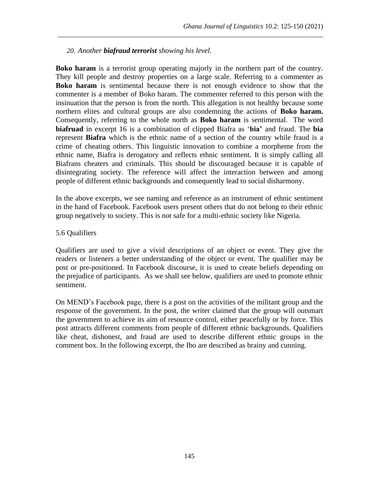#### *20. Another biafraud terrorist showing his level.*

**Boko haram** is a terrorist group operating majorly in the northern part of the country. They kill people and destroy properties on a large scale. Referring to a commenter as **Boko haram** is sentimental because there is not enough evidence to show that the commenter is a member of Boko haram. The commenter referred to this person with the insinuation that the person is from the north. This allegation is not healthy because some northern elites and cultural groups are also condemning the actions of **Boko haram.**  Consequently, referring to the whole north as **Boko haram** is sentimental. The word **biafruad** in excerpt 16 is a combination of clipped Biafra as '**bia'** and fraud. The **bia**  represent **Biafra** which is the ethnic name of a section of the country while fraud is a crime of cheating others. This linguistic innovation to combine a morpheme from the ethnic name, Biafra is derogatory and reflects ethnic sentiment. It is simply calling all Biafrans cheaters and criminals. This should be discouraged because it is capable of disintegrating society. The reference will affect the interaction between and among people of different ethnic backgrounds and consequently lead to social disharmony.

\_\_\_\_\_\_\_\_\_\_\_\_\_\_\_\_\_\_\_\_\_\_\_\_\_\_\_\_\_\_\_\_\_\_\_\_\_\_\_\_\_\_\_\_\_\_\_\_\_\_\_\_\_\_\_\_\_\_\_\_\_\_\_\_\_\_\_\_\_\_\_\_\_\_\_\_\_\_

In the above excerpts, we see naming and reference as an instrument of ethnic sentiment in the hand of Facebook. Facebook users present others that do not belong to their ethnic group negatively to society. This is not safe for a multi-ethnic society like Nigeria.

#### 5.6 Qualifiers

Qualifiers are used to give a vivid descriptions of an object or event. They give the readers or listeners a better understanding of the object or event. The qualifier may be post or pre-positioned. In Facebook discourse, it is used to create beliefs depending on the prejudice of participants. As we shall see below, qualifiers are used to promote ethnic sentiment.

On MEND's Facebook page, there is a post on the activities of the militant group and the response of the government. In the post, the writer claimed that the group will outsmart the government to achieve its aim of resource control, either peacefully or by force. This post attracts different comments from people of different ethnic backgrounds. Qualifiers like cheat, dishonest, and fraud are used to describe different ethnic groups in the comment box. In the following excerpt, the Ibo are described as brainy and cunning.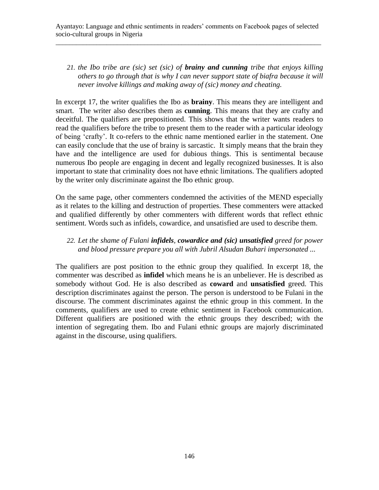## *21. the Ibo tribe are (sic) set (sic) of brainy and cunning tribe that enjoys killing others to go through that is why I can never support state of biafra because it will never involve killings and making away of (sic) money and cheating.*

In excerpt 17, the writer qualifies the Ibo as **brainy**. This means they are intelligent and smart. The writer also describes them as **cunning**. This means that they are crafty and deceitful. The qualifiers are prepositioned. This shows that the writer wants readers to read the qualifiers before the tribe to present them to the reader with a particular ideology of being 'crafty'. It co-refers to the ethnic name mentioned earlier in the statement. One can easily conclude that the use of brainy is sarcastic. It simply means that the brain they have and the intelligence are used for dubious things. This is sentimental because numerous Ibo people are engaging in decent and legally recognized businesses. It is also important to state that criminality does not have ethnic limitations. The qualifiers adopted by the writer only discriminate against the Ibo ethnic group.

On the same page, other commenters condemned the activities of the MEND especially as it relates to the killing and destruction of properties. These commenters were attacked and qualified differently by other commenters with different words that reflect ethnic sentiment. Words such as infidels, cowardice, and unsatisfied are used to describe them.

## *22. Let the shame of Fulani infidels, cowardice and (sic) unsatisfied greed for power and blood pressure prepare you all with Jubril Alsudan Buhari impersonated ...*

The qualifiers are post position to the ethnic group they qualified. In excerpt 18, the commenter was described as **infidel** which means he is an unbeliever. He is described as somebody without God. He is also described as **coward** and **unsatisfied** greed. This description discriminates against the person. The person is understood to be Fulani in the discourse. The comment discriminates against the ethnic group in this comment. In the comments, qualifiers are used to create ethnic sentiment in Facebook communication. Different qualifiers are positioned with the ethnic groups they described; with the intention of segregating them. Ibo and Fulani ethnic groups are majorly discriminated against in the discourse, using qualifiers.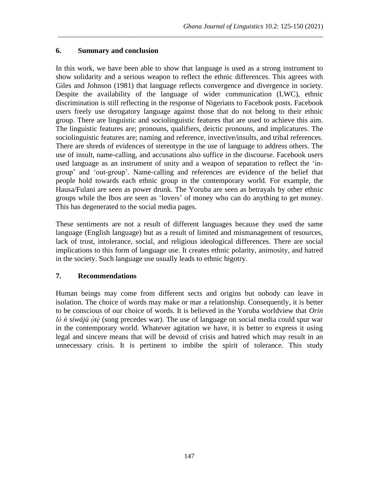## **6. Summary and conclusion**

In this work, we have been able to show that language is used as a strong instrument to show solidarity and a serious weapon to reflect the ethnic differences. This agrees with Giles and Johnson (1981) that language reflects convergence and divergence in society. Despite the availability of the language of wider communication (LWC), ethnic discrimination is still reflecting in the response of Nigerians to Facebook posts. Facebook users freely use derogatory language against those that do not belong to their ethnic group. There are linguistic and sociolinguistic features that are used to achieve this aim. The linguistic features are; pronouns, qualifiers, deictic pronouns, and implicatures. The sociolinguistic features are; naming and reference, invective/insults, and tribal references. There are shreds of evidences of stereotype in the use of language to address others. The use of insult, name-calling, and accusations also suffice in the discourse. Facebook users used language as an instrument of unity and a weapon of separation to reflect the 'ingroup' and 'out-group'. Name-calling and references are evidence of the belief that people hold towards each ethnic group in the contemporary world. For example, the Hausa/Fulani are seen as power drunk. The Yoruba are seen as betrayals by other ethnic groups while the Ibos are seen as 'lovers' of money who can do anything to get money. This has degenerated to the social media pages.

\_\_\_\_\_\_\_\_\_\_\_\_\_\_\_\_\_\_\_\_\_\_\_\_\_\_\_\_\_\_\_\_\_\_\_\_\_\_\_\_\_\_\_\_\_\_\_\_\_\_\_\_\_\_\_\_\_\_\_\_\_\_\_\_\_\_\_\_\_\_\_\_\_\_\_\_\_\_

These sentiments are not a result of different languages because they used the same language (English language) but as a result of limited and mismanagement of resources, lack of trust, intolerance, social, and religious ideological differences. There are social implications to this form of language use. It creates ethnic polarity, animosity, and hatred in the society. Such language use usually leads to ethnic bigotry.

## **7. Recommendations**

Human beings may come from different sects and origins but nobody can leave in isolation. The choice of words may make or mar a relationship. Consequently, it is better to be conscious of our choice of words. It is believed in the Yoruba worldview that *Orin ló ń síwájú ọ̀tè* (song precedes war). The use of language on social media could spur war in the contemporary world. Whatever agitation we have, it is better to express it using legal and sincere means that will be devoid of crisis and hatred which may result in an unnecessary crisis. It is pertinent to imbibe the spirit of tolerance. This study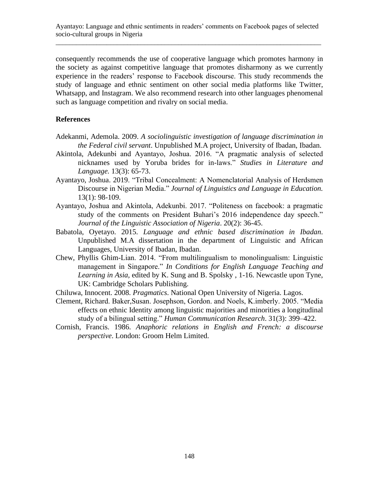consequently recommends the use of cooperative language which promotes harmony in the society as against competitive language that promotes disharmony as we currently experience in the readers' response to Facebook discourse. This study recommends the study of language and ethnic sentiment on other social media platforms like Twitter, Whatsapp, and Instagram. We also recommend research into other languages phenomenal such as language competition and rivalry on social media.

#### **References**

- Adekanmi, Ademola. 2009. *A sociolinguistic investigation of language discrimination in the Federal civil servant*. Unpublished M.A project, University of Ibadan, Ibadan.
- Akintola, Adekunbi and Ayantayo, Joshua. 2016. "A pragmatic analysis of selected nicknames used by Yoruba brides for in-laws." *Studies in Literature and Language.* 13(3): 65-73.
- Ayantayo, Joshua. 2019. "Tribal Concealment: A Nomenclatorial Analysis of Herdsmen Discourse in Nigerian Media." *Journal of Linguistics and Language in Education.* 13(1): 98-109.
- Ayantayo, Joshua and Akintola, Adekunbi. 2017. "Politeness on facebook: a pragmatic study of the comments on President Buhari's 2016 independence day speech." *Journal of the Linguistic Association of Nigeria*. 20(2): 36-45.
- Babatola, Oyetayo. 2015. *Language and ethnic based discrimination in Ibadan*. Unpublished M.A dissertation in the department of Linguistic and African Languages, University of Ibadan, Ibadan.
- Chew, Phyllis Ghim-Lian. 2014. "From multilingualism to monolingualism: Linguistic management in Singapore." *In Conditions for English Language Teaching and Learning in Asia,* edited by K. Sung and B. Spolsky , 1-16. Newcastle upon Tyne, UK: Cambridge Scholars Publishing.
- Chiluwa, Innocent. 2008. *Pragmatics*. National Open University of Nigeria. Lagos.
- Clement, Richard. Baker,Susan. Josephson, Gordon. and Noels, K.imberly. 2005. "Media effects on ethnic Identity among linguistic majorities and minorities a longitudinal study of a bilingual setting." *Human Communication Research*. 31(3): 399–422.
- Cornish, Francis. 1986. *Anaphoric relations in English and French: a discourse perspective*. London: Groom Helm Limited.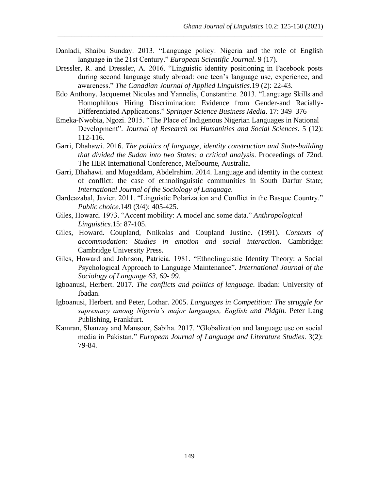Danladi, Shaibu Sunday. 2013. "Language policy: Nigeria and the role of English language in the 21st Century." *European Scientific Journal*. 9 (17).

\_\_\_\_\_\_\_\_\_\_\_\_\_\_\_\_\_\_\_\_\_\_\_\_\_\_\_\_\_\_\_\_\_\_\_\_\_\_\_\_\_\_\_\_\_\_\_\_\_\_\_\_\_\_\_\_\_\_\_\_\_\_\_\_\_\_\_\_\_\_\_\_\_\_\_\_\_\_

- Dressler, R. and Dressler, A. 2016. "Linguistic identity positioning in Facebook posts during second language study abroad: one teen's language use, experience, and awareness." *The Canadian Journal of Applied Linguistics.*19 (2): 22-43.
- Edo Anthony. Jacquemet Nicolas and Yannelis, Constantine. 2013. "Language Skills and Homophilous Hiring Discrimination: Evidence from Gender-and Racially-Differentiated Applications." *Springer Science Business Media*. 17: 349–376
- Emeka-Nwobia, Ngozi. 2015. "The Place of Indigenous Nigerian Languages in National Development". *Journal of Research on Humanities and Social Sciences.* 5 (12): 112-116.
- Garri, Dhahawi. 2016. *The politics of language, identity construction and State-building that divided the Sudan into two States: a critical analysis*. Proceedings of 72nd. The IIER International Conference, Melbourne, Australia.
- Garri, Dhahawi. and Mugaddam, Abdelrahim. 2014. Language and identity in the context of conflict: the case of ethnolinguistic communities in South Darfur State; *International Journal of the Sociology of Language*.
- Gardeazabal, Javier. 2011. "Linguistic Polarization and Conflict in the Basque Country." *Public choice*.149 (3/4): 405-425.
- Giles, Howard. 1973. "Accent mobility: A model and some data." *Anthropological Linguistics.*15: 87-105.
- Giles, Howard. Coupland, Nnikolas and Coupland Justine. (1991). *Contexts of accommodation: Studies in emotion and social interaction.* Cambridge: Cambridge University Press.
- Giles, Howard and Johnson, Patricia. 1981. "Ethnolinguistic Identity Theory: a Social Psychological Approach to Language Maintenance". *International Journal of the Sociology of Language 63, 69- 99.*
- Igboanusi, Herbert. 2017. *The conflicts and politics of language*. Ibadan: University of Ibadan.
- Igboanusi, Herbert. and Peter, Lothar. 2005. *Languages in Competition: The struggle for supremacy among Nigeria's major languages, English and Pidgin.* Peter Lang Publishing, Frankfurt.
- Kamran, Shanzay and Mansoor, Sabiha. 2017. "Globalization and language use on social media in Pakistan." *European Journal of Language and Literature Studies*. 3(2): 79-84.